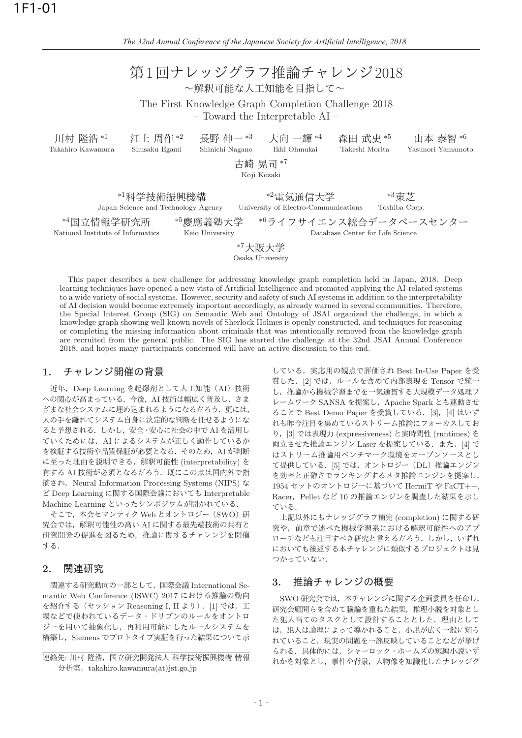| 第1回ナレッジグラフ推論チャレンジ2018<br>~解釈可能な人工知能を目指して~<br>The First Knowledge Graph Completion Challenge 2018<br>$-$ Toward the Interpretable AI $-$                                                                                                                                        |                                             |  |                                                             |                            |                               |  |  |  |  |  |
|--------------------------------------------------------------------------------------------------------------------------------------------------------------------------------------------------------------------------------------------------------------------------------|---------------------------------------------|--|-------------------------------------------------------------|----------------------------|-------------------------------|--|--|--|--|--|
| 川村 隆浩*1<br>Takahiro Kawamura                                                                                                                                                                                                                                                   | 江上 周作*2<br>Shinichi Nagano<br>Shusaku Egami |  | 長野 伸一 *3 大向 一輝 *4<br>Ikki Ohmukai<br>古崎 晃司*7<br>Koji Kozaki | 森田 武史 *5<br>Takeshi Morita | 山本 泰智 *6<br>Yasunori Yamamoto |  |  |  |  |  |
| *3東芝<br>*1科学技術振興機構<br>*2電気通信大学<br>Japan Science and Technology Agency<br>University of Electro-Communications<br>Toshiba Corp.<br>*6ライフサイエンス統合データベースセンター<br>*4国立情報学研究所<br>*5慶應義塾大学<br>National Institute of Informatics<br>Keio University<br>Database Center for Life Science |                                             |  |                                                             |                            |                               |  |  |  |  |  |

<sup>∗</sup><sup>7</sup>େࡕେֶ

Osaka University

This paper describes a new challenge for addressing knowledge graph completion held in Japan, 2018. Deep learning techniques have opened a new vista of Artificial Intelligence and promoted applying the AI-related systems to a wide variety of social systems. However, security and safety of such AI systems in addition to the interpretability of AI decision would become extremely important accordingly, as already warned in several communities. Therefore, the Special Interest Group (SIG) on Semantic Web and Ontology of JSAI organized the challenge, in which a knowledge graph showing well-known novels of Sherlock Holmes is openly constructed, and techniques for reasoning or completing the missing information about criminals that was intentionally removed from the knowledge graph are recruited from the general public. The SIG has started the challenge at the 32nd JSAI Annual Conference 2018, and hopes many participants concerned will have an active discussion to this end.

## 1. チャレンジ開催の背景

近年, Deep Learning を起爆剤として人工知能 (AI) 技術 への関心が高まっている. 今後, AI 技術は幅広く普及し, さま ざまな社会システムに埋め込まれるようになるだろう。更には, 人の手を離れてシステム自身に決定的な判断を任せるようにな ると予想される. しかし. 安全·安心に社会の中で AI を活用し ていくためには、AI によるシステムが正しく動作しているか を検証する技術や品質保証が必要となる. そのため、AI が判断 に至った理由を説明できる, 解釈可能性 (interpretability) を 有する AI 技術が必須となるだろう. 既にこの点は国内外で指 摘され, Neural Information Processing Systems (NIPS) な ど Deep Learning に関する国際会議においても Interpretable Machine Learning といったシンポジウムが開かれている.

そこで. 本会セマンティク Web とオントロジー (SWO) 研 究会では、解釈可能性の高い AI に関する最先端技術の共有と 研究開発の促進を図るため、推論に関するチャレンジを開催 τる.

#### <u>2.</u> 関連研究

関連する研究動向の一部として、国際会議 International Semantic Web Conference (ISWC) 2017 における推論の動向 を紹介する(セッション Reasoning I, II より). [1] では, 工 場などで使われているデータ・ドリブンのルールをオントロ ジーを用いて抽象化し、再利用可能にしたルールシステムを 構築し、Siemens でプロトタイプ実証を行った結果について示

連絡先: 川村 隆浩, 国立研究開発法人 科学技術振興機構 情報 分析室, takahiro.kawamura(at)jst.go.jp

している. 実応用の観点で評価され Best In-Use Paper を受 賞した. [2] では、ルールを含めて内部表現を Tensor で統一 し、推論から機械学習までを一気通貫する大規模データ処理フ レームワーク SANSA を提案し, Apache Spark とも連動させ ることで Best Demo Paper を受賞している. [3], [4] はいず れも昨今注目を集めているストリーム推論にフォーカスしてお り, [3] では表現力 (expressiveness) と実時間性 (runtimes) を 両立させた推論エンジン Laser を提案している. また, [4] で はストリーム推論用ベンチマーク環境をオープンソースとし て提供している. [5] では、オントロジー (DL) 推論エンジン を効率と正確さでランキングするメタ推論エンジンを提案し、 1954 セットのオントロジーに基づいて HermiT や FaCT++, Racer, Pellet など 10 の推論エンジンを調査した結果を示し τι<sub>δ.</sub>

上記以外にもナレッジグラフ補完 (completion) に関する研 究や、前章で述べた機械学習系における解釈可能性へのアプ ローチなども注目すべき研究と言えるだろう。しかし、いずれ においても後述する本チャレンジに類似するプロジェクトは見 つかっていない.

### 3. 推論チャレンジの概要

SWO 研究会では、本チャレンジに関する企画委員を任命し, 研究会顧問らを含めて議論を重ねた結果、推理小説を対象とし た犯人当てのタスクとして設計することとした。理由として は、犯人は論理によって導かれること、小説が広く一般に知ら れていること、現実の問題を一部反映していることなどが挙げ られる. 具体的には、シャーロック・ホームズの短編小説いず れかを対象とし、事件や背景、人物像を知識化したナレッジグ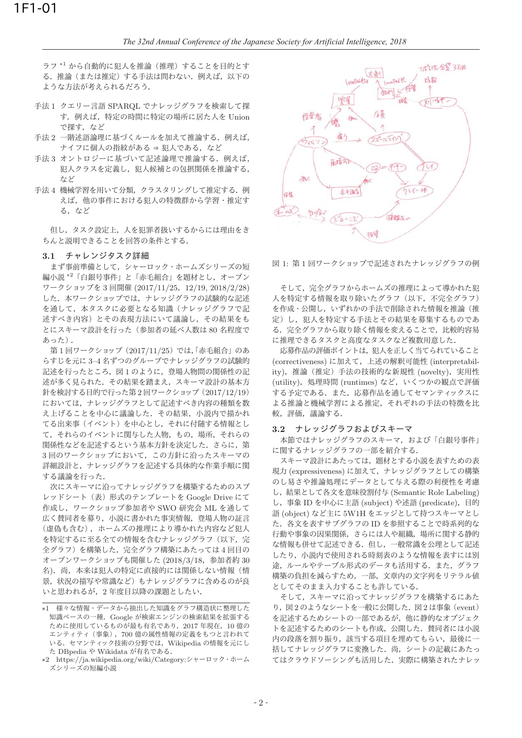ラフ $*1$ から自動的に犯人を推論(推理)することを目的とす る. 推論(または推定)する手法は問わない. 例えば、以下の ような方法が考えられるだろう.

- 手法1 クエリー言語 SPARQL でナレッジグラフを検索して探 す. 例えば、特定の時間に特定の場所に居た人を Union で探す、など
- 手法2 一階述語論理に基づくルールを加えて推論する。例えば,  $+17$ に個人の指紋がある ⇒犯人である、など
- 手法3 オントロジーに基づいて記述論理で推論する. 例えば, 犯人クラスを定義し、犯人候補との包摂関係を推論する, たど
- 手法4 機械学習を用いて分類、クラスタリングして推定する. 例 えば、他の事件における犯人の特徴群から学習・推定す る。など

但し、タスク設定上、人を犯罪者扱いするからには理由をき ちんと説明できることを回答の条件とする.

#### 3.1 チャレンジタスク詳細

まず事前準備として、シャーロック・ホームズシリーズの短 編小説 \*2「白銀号事件」と「赤毛組合」を題材とし、オープン ワークショップを3回開催 (2017/11/25, 12/19, 2018/2/28) した。本ワークショップでは、ナレッジグラフの試験的な記述 を通して、本タスクに必要となる知識(ナレッジグラフで記 述すべき内容)とその表現方法にいて議論し、その結果をも とにスキーマ設計を行った(参加者の延べ人数は80名程度で あった).

第1回ワークショップ (2017/11/25) では、「赤毛組合」のあ らすじを元に 3-4 名ずつのグループでナレッジグラフの試験的 記述を行ったところ、図1のように、登場人物間の関係性の記 述が多く見られた。その結果を踏まえ、スキーマ設計の基本方 針を検討する目的で行った第2回ワークショップ (2017/12/19) においては、ナレッジグラフとして記述すべき内容の種類を数 え上げることを中心に議論した。その結果、小説内で描かれ てる出来事(イベント)を中心とし、それに付随する情報とし て、それらのイベントに関与した人物、もの、場所、それらの 関係性などを記述するという基本方針を決定した。さらに、第 3回のワークショップにおいて、この方針に沿ったスキーマの 詳細設計と、ナレッジグラフを記述する具体的な作業手順に関 する議論を行った.

次にスキーマに沿ってナレッジグラフを構築するためのスプ レッドシート (表) 形式のテンプレートを Google Drive にて 作成し、ワークショップ参加者や SWO 研究会 ML を通して 広く賛同者を募り、小説に書かれた事実情報、登場人物の証言 (虚偽も含む), ホームズの推理により導かれた内容など犯人 を特定するに至る全ての情報を含むナレッジグラフ(以下、完 全グラフ)を構築した. 完全グラフ構築にあたっては4回目の オープンワークショップも開催した (2018/3/18, 参加者約 30 名). 尚, 本来は犯人の特定に直接的には関係しない情報(情 景,状況の描写や常識など)もナレッジグラフに含めるのが良 いと思われるが、2年度目以降の課題としたい.



図 1: 第1回ワークショップで記述されたナレッジグラフの例

そして、完全グラフからホームズの推理によって導かれた犯 人を特定する情報を取り除いたグラフ(以下,不完全グラフ) を作成·公開し、いずれかの手法で削除された情報を推論(推 定)し、犯人を特定する手法とその結果を募集するものであ る。完全グラフから取り除く情報を変えることで、比較的容易 に推理できるタスクと高度なタスクなど複数用意した.

応募作品の評価ポイントは、犯人を正しく当てられていること (correctiveness) に加えて、上述の解釈可能性 (interpretability), 推論(推定)手法の技術的な新規性 (novelty), 実用性 (utility), 処理時間 (runtimes) など、いくつかの観点で評価 する予定である。また、応募作品を通してセマンティックスに よる推論と機械学習による推定、それぞれの手法の特徴を比 較,評価,議論する.

## 3.2 ナレッジグラフおよびスキーマ

本節ではナレッジグラフのスキーマ、および「白銀号事件」 に関するナレッジグラフの一部を紹介する.

スキーマ設計にあたっては、題材とする小説を表すための表 現力 (expressiveness) に加えて、ナレッジグラフとしての構築 のし易さや推論処理にデータとして与える際の利便性を考慮 し, 結果として各文を意味役割付与 (Semantic Role Labeling) し, 事象 ID を中心に主語 (subject) や述語 (predicate), 目的 語 (object) など主に 5W1H をエッジとして持つスキーマとし た. 各文を表すサブグラフの ID を参照することで時系列的な 行動や事象の因果関係、さらには人や組織、場所に関する静的 な情報も併せて記述できる。但し、一般常識を公理として記述 したり、小説内で使用される時刻表のような情報を表すには別 途、ルールやテーブル形式のデータも活用する。また、グラフ 構築の負担を減らすため、一部、文章内の文字列をリテラル値 としてそのまま入力することも許している.

そして、スキーマに沿ってナレッジグラフを構築するにあた  $0, 20$ とうなシートを一般に公開した. 図2は事象 (event) を記述するためシートの一部であるが、他に静的なオブジェク トを記述するためのシートも作成、公開した。賛同者には小説 内の段落を割り振り、該当する項目を埋めてもらい、最後にー 括してナレッジグラフに変換した。尚、シートの記載にあたっ てはクラウドソーシングも活用した。実際に構築されたナレッ

<sup>\*1</sup> 様々な情報・データから抽出した知識をグラフ構造状に整理した 知識ベースの一種. Google が検索エンジンの検索結果を拡張する ために使用しているものが最も有名であり、2017年現在、10億の エンティティ (事象), 700 億の属性情報の定義をもつと言われて いる. セマンティック技術の分野では、Wikipedia の情報を元にし た DBpedia や Wikidata が有名である.

<sup>∗2</sup> https://ja.wikipedia.org/wiki/Category:シャーロック・ホーム ズシリーズの短編小説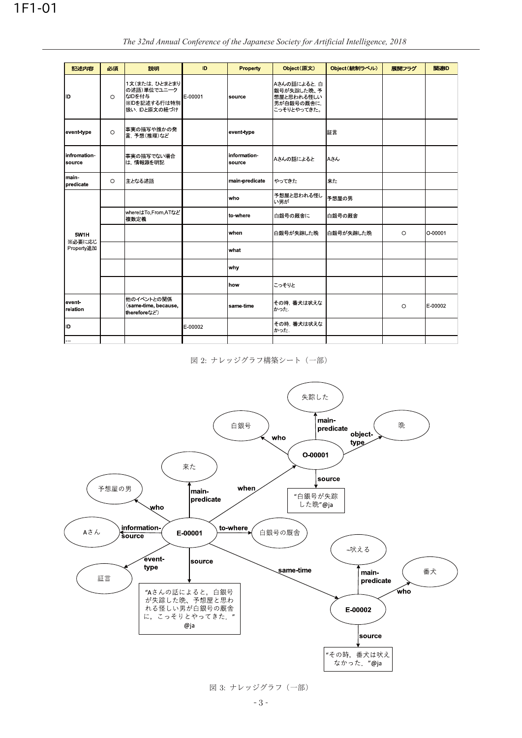| 記述内容                         | 必須      | 説明                                                                    | ID      | <b>Property</b>        | Object(原文)                                                           | Object (統制ラベル) | 展開フラグ   | 関連ID    |
|------------------------------|---------|-----------------------------------------------------------------------|---------|------------------------|----------------------------------------------------------------------|----------------|---------|---------|
| ID                           | $\circ$ | 1文(または、ひとまとまり<br>の述語)単位でユニーク<br>なIDを付与<br>※IDを記述する行は特別<br>扱い Dと原文の紐づけ | E-00001 | source                 | Aさんの話によると, 白<br>銀号が失踪した晩、予<br>想屋と思われる怪しい<br>男が白銀号の厩舎に<br>こっそりとやってきた。 |                |         |         |
| event type                   | $\circ$ | 事実の描写や誰かの発<br>言. 予想(推理)など                                             |         | event type             |                                                                      | 証言             |         |         |
| infromation<br>source        |         | 事実の描写でない場合<br>は,情報源を明記                                                |         | information-<br>source | Aさんの話によると                                                            | Aさん            |         |         |
| main-<br>predicate           | $\circ$ | 主となる述語                                                                |         | main predicate         | やってきた                                                                | 来た             |         |         |
| 5W1H<br>※必要に応じ<br>Property追加 |         |                                                                       |         | who                    | 予想屋と思われる怪し<br>い男が                                                    | 予想屋の男          |         |         |
|                              |         | whereはTo,From,ATなど<br>複数定義                                            |         | to where               | 白銀号の厩舎に                                                              | 白銀号の厩舎         |         |         |
|                              |         |                                                                       |         | when                   | 白銀号が失踪した晩                                                            | 白銀号が失踪した晩      | $\circ$ | O 00001 |
|                              |         |                                                                       |         | what                   |                                                                      |                |         |         |
|                              |         |                                                                       |         | why                    |                                                                      |                |         |         |
|                              |         |                                                                       |         | how                    | こっそりと                                                                |                |         |         |
| event-<br>relation           |         | 他のイベントとの関係<br>(same-time, because,<br>thereforeなど)                    |         | same time              | その時, 番犬は吠えな<br>かった                                                   |                | $\circ$ | E-00002 |
| ID                           |         |                                                                       | E-00002 |                        | その時, 番犬は吠えな<br>かった                                                   |                |         |         |
| $\sim$ .                     |         |                                                                       |         |                        |                                                                      |                |         |         |

The 32nd Annual Conference of the Japanese Society for Artificial Intelligence, 2018

図 2: ナレッジグラフ構築シート (一部)



図 3: ナレッジグラフ (一部)